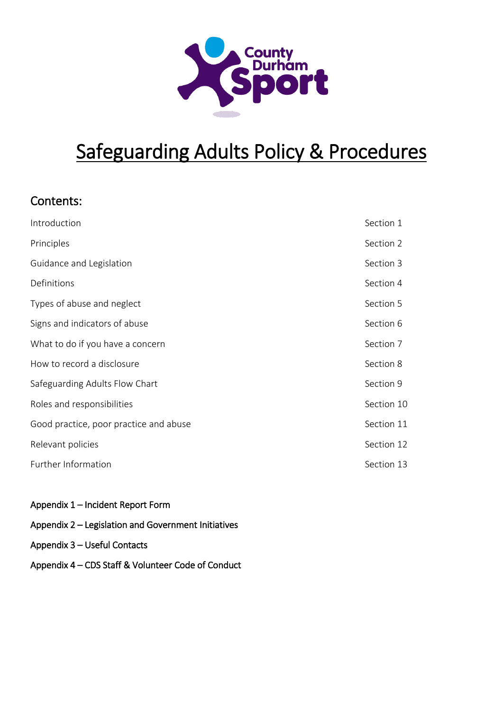

# Safeguarding Adults Policy & Procedures

## Contents:

| Introduction                           | Section 1  |
|----------------------------------------|------------|
| Principles                             | Section 2  |
| Guidance and Legislation               | Section 3  |
| Definitions                            | Section 4  |
| Types of abuse and neglect             | Section 5  |
| Signs and indicators of abuse          | Section 6  |
| What to do if you have a concern       | Section 7  |
| How to record a disclosure             | Section 8  |
| Safeguarding Adults Flow Chart         | Section 9  |
| Roles and responsibilities             | Section 10 |
| Good practice, poor practice and abuse | Section 11 |
| Relevant policies                      | Section 12 |
| Further Information                    | Section 13 |
|                                        |            |

- Appendix 1 Incident Report Form
- Appendix 2 Legislation and Government Initiatives
- Appendix 3 Useful Contacts
- Appendix 4 CDS Staff & Volunteer Code of Conduct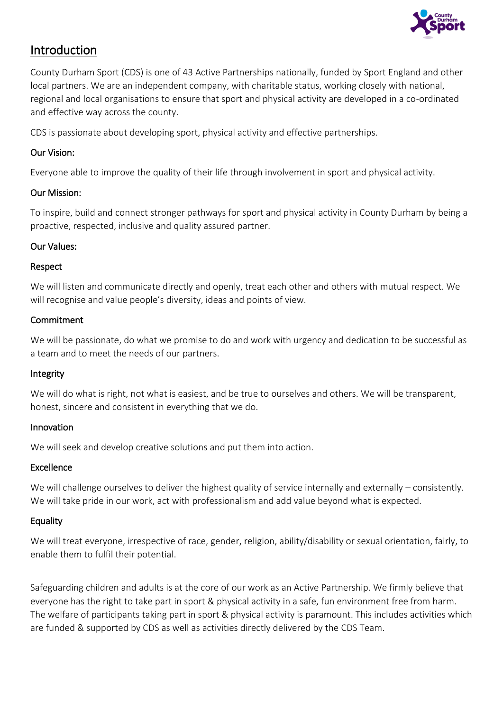

## Introduction

County Durham Sport (CDS) is one of 43 Active Partnerships nationally, funded by Sport England and other local partners. We are an independent company, with charitable status, working closely with national, regional and local organisations to ensure that sport and physical activity are developed in a co-ordinated and effective way across the county.

CDS is passionate about developing sport, physical activity and effective partnerships.

#### Our Vision:

Everyone able to improve the quality of their life through involvement in sport and physical activity.

#### Our Mission:

To inspire, build and connect stronger pathways for sport and physical activity in County Durham by being a proactive, respected, inclusive and quality assured partner.

### Our Values:

#### Respect

We will listen and communicate directly and openly, treat each other and others with mutual respect. We will recognise and value people's diversity, ideas and points of view.

#### **Commitment**

We will be passionate, do what we promise to do and work with urgency and dedication to be successful as a team and to meet the needs of our partners.

#### Integrity

We will do what is right, not what is easiest, and be true to ourselves and others. We will be transparent, honest, sincere and consistent in everything that we do.

#### Innovation

We will seek and develop creative solutions and put them into action.

#### Excellence

We will challenge ourselves to deliver the highest quality of service internally and externally – consistently. We will take pride in our work, act with professionalism and add value beyond what is expected.

#### Equality

We will treat everyone, irrespective of race, gender, religion, ability/disability or sexual orientation, fairly, to enable them to fulfil their potential.

Safeguarding children and adults is at the core of our work as an Active Partnership. We firmly believe that everyone has the right to take part in sport & physical activity in a safe, fun environment free from harm. The welfare of participants taking part in sport & physical activity is paramount. This includes activities which are funded & supported by CDS as well as activities directly delivered by the CDS Team.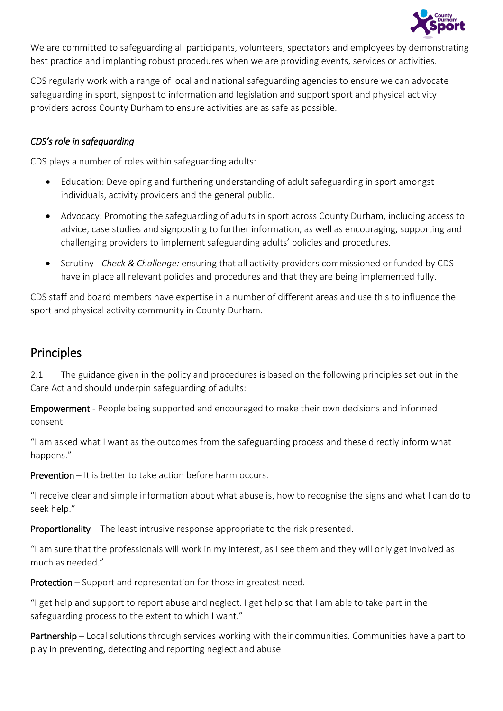

We are committed to safeguarding all participants, volunteers, spectators and employees by demonstrating best practice and implanting robust procedures when we are providing events, services or activities.

CDS regularly work with a range of local and national safeguarding agencies to ensure we can advocate safeguarding in sport, signpost to information and legislation and support sport and physical activity providers across County Durham to ensure activities are as safe as possible.

### *CDS's role in safeguarding*

CDS plays a number of roles within safeguarding adults:

- Education: Developing and furthering understanding of adult safeguarding in sport amongst individuals, activity providers and the general public.
- Advocacy: Promoting the safeguarding of adults in sport across County Durham, including access to advice, case studies and signposting to further information, as well as encouraging, supporting and challenging providers to implement safeguarding adults' policies and procedures.
- Scrutiny *Check & Challenge:* ensuring that all activity providers commissioned or funded by CDS have in place all relevant policies and procedures and that they are being implemented fully.

CDS staff and board members have expertise in a number of different areas and use this to influence the sport and physical activity community in County Durham.

## **Principles**

2.1 The guidance given in the policy and procedures is based on the following principles set out in the Care Act and should underpin safeguarding of adults:

Empowerment - People being supported and encouraged to make their own decisions and informed consent.

"I am asked what I want as the outcomes from the safeguarding process and these directly inform what happens."

Prevention – It is better to take action before harm occurs.

"I receive clear and simple information about what abuse is, how to recognise the signs and what I can do to seek help."

Proportionality – The least intrusive response appropriate to the risk presented.

"I am sure that the professionals will work in my interest, as I see them and they will only get involved as much as needed."

Protection – Support and representation for those in greatest need.

"I get help and support to report abuse and neglect. I get help so that I am able to take part in the safeguarding process to the extent to which I want."

Partnership – Local solutions through services working with their communities. Communities have a part to play in preventing, detecting and reporting neglect and abuse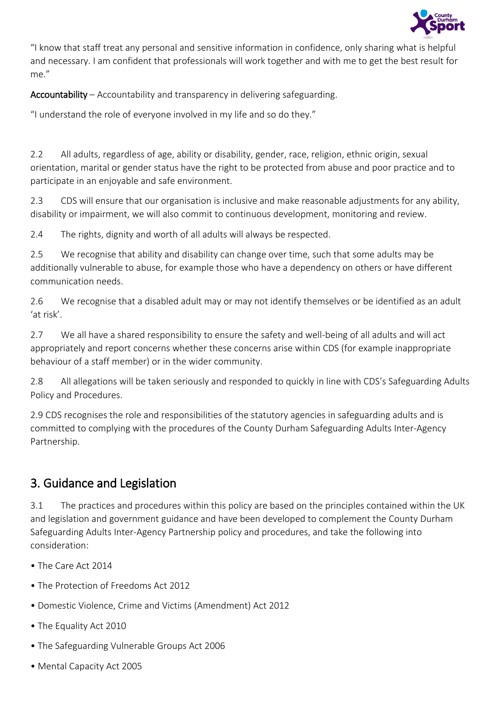

"I know that staff treat any personal and sensitive information in confidence, only sharing what is helpful and necessary. I am confident that professionals will work together and with me to get the best result for me."

Accountability – Accountability and transparency in delivering safeguarding.

"I understand the role of everyone involved in my life and so do they."

2.2 All adults, regardless of age, ability or disability, gender, race, religion, ethnic origin, sexual orientation, marital or gender status have the right to be protected from abuse and poor practice and to participate in an enjoyable and safe environment.

2.3 CDS will ensure that our organisation is inclusive and make reasonable adjustments for any ability, disability or impairment, we will also commit to continuous development, monitoring and review.

2.4 The rights, dignity and worth of all adults will always be respected.

2.5 We recognise that ability and disability can change over time, such that some adults may be additionally vulnerable to abuse, for example those who have a dependency on others or have different communication needs.

2.6 We recognise that a disabled adult may or may not identify themselves or be identified as an adult 'at risk'.

2.7 We all have a shared responsibility to ensure the safety and well-being of all adults and will act appropriately and report concerns whether these concerns arise within CDS (for example inappropriate behaviour of a staff member) or in the wider community.

2.8 All allegations will be taken seriously and responded to quickly in line with CDS's Safeguarding Adults Policy and Procedures.

2.9 CDS recognises the role and responsibilities of the statutory agencies in safeguarding adults and is committed to complying with the procedures of the County Durham Safeguarding Adults Inter-Agency Partnership.

## 3. Guidance and Legislation

3.1 The practices and procedures within this policy are based on the principles contained within the UK and legislation and government guidance and have been developed to complement the County Durham Safeguarding Adults Inter-Agency Partnership policy and procedures, and take the following into consideration:

- The Care Act 2014
- The Protection of Freedoms Act 2012
- Domestic Violence, Crime and Victims (Amendment) Act 2012
- The Equality Act 2010
- The Safeguarding Vulnerable Groups Act 2006
- Mental Capacity Act 2005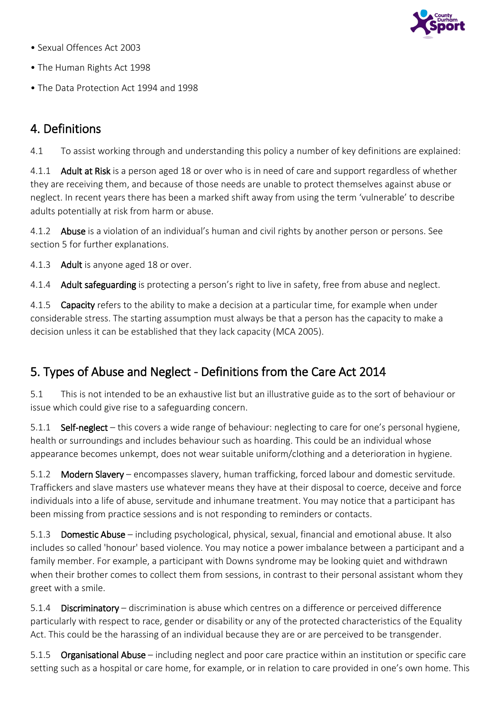

- Sexual Offences Act 2003
- The Human Rights Act 1998
- The Data Protection Act 1994 and 1998

## 4. Definitions

4.1 To assist working through and understanding this policy a number of key definitions are explained:

4.1.1 Adult at Risk is a person aged 18 or over who is in need of care and support regardless of whether they are receiving them, and because of those needs are unable to protect themselves against abuse or neglect. In recent years there has been a marked shift away from using the term 'vulnerable' to describe adults potentially at risk from harm or abuse.

4.1.2 Abuse is a violation of an individual's human and civil rights by another person or persons. See section 5 for further explanations.

4.1.3 Adult is anyone aged 18 or over.

4.1.4 Adult safeguarding is protecting a person's right to live in safety, free from abuse and neglect.

4.1.5 Capacity refers to the ability to make a decision at a particular time, for example when under considerable stress. The starting assumption must always be that a person has the capacity to make a decision unless it can be established that they lack capacity (MCA 2005).

## 5. Types of Abuse and Neglect - Definitions from the Care Act 2014

5.1 This is not intended to be an exhaustive list but an illustrative guide as to the sort of behaviour or issue which could give rise to a safeguarding concern.

5.1.1 Self-neglect – this covers a wide range of behaviour: neglecting to care for one's personal hygiene, health or surroundings and includes behaviour such as hoarding. This could be an individual whose appearance becomes unkempt, does not wear suitable uniform/clothing and a deterioration in hygiene.

5.1.2 Modern Slavery – encompasses slavery, human trafficking, forced labour and domestic servitude. Traffickers and slave masters use whatever means they have at their disposal to coerce, deceive and force individuals into a life of abuse, servitude and inhumane treatment. You may notice that a participant has been missing from practice sessions and is not responding to reminders or contacts.

5.1.3 Domestic Abuse – including psychological, physical, sexual, financial and emotional abuse. It also includes so called 'honour' based violence. You may notice a power imbalance between a participant and a family member. For example, a participant with Downs syndrome may be looking quiet and withdrawn when their brother comes to collect them from sessions, in contrast to their personal assistant whom they greet with a smile.

5.1.4 Discriminatory – discrimination is abuse which centres on a difference or perceived difference particularly with respect to race, gender or disability or any of the protected characteristics of the Equality Act. This could be the harassing of an individual because they are or are perceived to be transgender.

5.1.5 Organisational Abuse – including neglect and poor care practice within an institution or specific care setting such as a hospital or care home, for example, or in relation to care provided in one's own home. This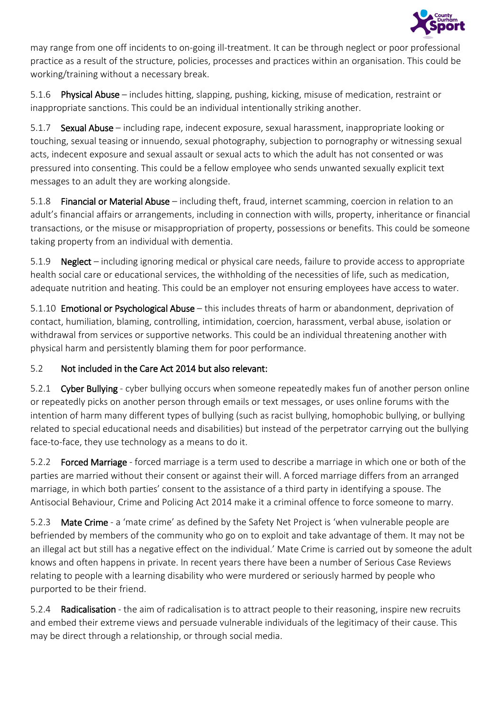

may range from one off incidents to on-going ill-treatment. It can be through neglect or poor professional practice as a result of the structure, policies, processes and practices within an organisation. This could be working/training without a necessary break.

5.1.6 Physical Abuse – includes hitting, slapping, pushing, kicking, misuse of medication, restraint or inappropriate sanctions. This could be an individual intentionally striking another.

5.1.7 **Sexual Abuse** – including rape, indecent exposure, sexual harassment, inappropriate looking or touching, sexual teasing or innuendo, sexual photography, subjection to pornography or witnessing sexual acts, indecent exposure and sexual assault or sexual acts to which the adult has not consented or was pressured into consenting. This could be a fellow employee who sends unwanted sexually explicit text messages to an adult they are working alongside.

5.1.8 Financial or Material Abuse – including theft, fraud, internet scamming, coercion in relation to an adult's financial affairs or arrangements, including in connection with wills, property, inheritance or financial transactions, or the misuse or misappropriation of property, possessions or benefits. This could be someone taking property from an individual with dementia.

5.1.9 Neglect – including ignoring medical or physical care needs, failure to provide access to appropriate health social care or educational services, the withholding of the necessities of life, such as medication, adequate nutrition and heating. This could be an employer not ensuring employees have access to water.

5.1.10 Emotional or Psychological Abuse – this includes threats of harm or abandonment, deprivation of contact, humiliation, blaming, controlling, intimidation, coercion, harassment, verbal abuse, isolation or withdrawal from services or supportive networks. This could be an individual threatening another with physical harm and persistently blaming them for poor performance.

## 5.2 Not included in the Care Act 2014 but also relevant:

5.2.1 Cyber Bullying - cyber bullying occurs when someone repeatedly makes fun of another person online or repeatedly picks on another person through emails or text messages, or uses online forums with the intention of harm many different types of bullying (such as racist bullying, homophobic bullying, or bullying related to special educational needs and disabilities) but instead of the perpetrator carrying out the bullying face-to-face, they use technology as a means to do it.

5.2.2 Forced Marriage - forced marriage is a term used to describe a marriage in which one or both of the parties are married without their consent or against their will. A forced marriage differs from an arranged marriage, in which both parties' consent to the assistance of a third party in identifying a spouse. The Antisocial Behaviour, Crime and Policing Act 2014 make it a criminal offence to force someone to marry.

5.2.3 Mate Crime - a 'mate crime' as defined by the Safety Net Project is 'when vulnerable people are befriended by members of the community who go on to exploit and take advantage of them. It may not be an illegal act but still has a negative effect on the individual.' Mate Crime is carried out by someone the adult knows and often happens in private. In recent years there have been a number of Serious Case Reviews relating to people with a learning disability who were murdered or seriously harmed by people who purported to be their friend.

5.2.4 Radicalisation - the aim of radicalisation is to attract people to their reasoning, inspire new recruits and embed their extreme views and persuade vulnerable individuals of the legitimacy of their cause. This may be direct through a relationship, or through social media.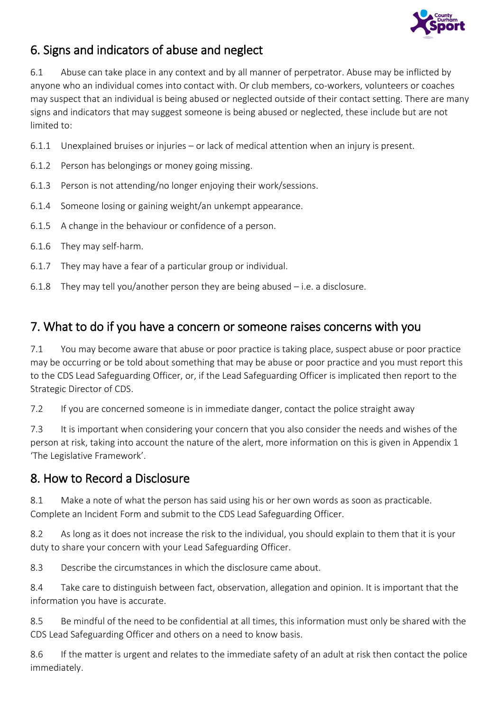

## 6. Signs and indicators of abuse and neglect

6.1 Abuse can take place in any context and by all manner of perpetrator. Abuse may be inflicted by anyone who an individual comes into contact with. Or club members, co-workers, volunteers or coaches may suspect that an individual is being abused or neglected outside of their contact setting. There are many signs and indicators that may suggest someone is being abused or neglected, these include but are not limited to:

- 6.1.1 Unexplained bruises or injuries or lack of medical attention when an injury is present.
- 6.1.2 Person has belongings or money going missing.
- 6.1.3 Person is not attending/no longer enjoying their work/sessions.
- 6.1.4 Someone losing or gaining weight/an unkempt appearance.
- 6.1.5 A change in the behaviour or confidence of a person.
- 6.1.6 They may self-harm.
- 6.1.7 They may have a fear of a particular group or individual.
- 6.1.8 They may tell you/another person they are being abused i.e. a disclosure.

## 7. What to do if you have a concern or someone raises concerns with you

7.1 You may become aware that abuse or poor practice is taking place, suspect abuse or poor practice may be occurring or be told about something that may be abuse or poor practice and you must report this to the CDS Lead Safeguarding Officer, or, if the Lead Safeguarding Officer is implicated then report to the Strategic Director of CDS.

7.2 If you are concerned someone is in immediate danger, contact the police straight away

7.3 It is important when considering your concern that you also consider the needs and wishes of the person at risk, taking into account the nature of the alert, more information on this is given in Appendix 1 'The Legislative Framework'.

## 8. How to Record a Disclosure

8.1 Make a note of what the person has said using his or her own words as soon as practicable. Complete an Incident Form and submit to the CDS Lead Safeguarding Officer.

8.2 As long as it does not increase the risk to the individual, you should explain to them that it is your duty to share your concern with your Lead Safeguarding Officer.

8.3 Describe the circumstances in which the disclosure came about.

8.4 Take care to distinguish between fact, observation, allegation and opinion. It is important that the information you have is accurate.

8.5 Be mindful of the need to be confidential at all times, this information must only be shared with the CDS Lead Safeguarding Officer and others on a need to know basis.

8.6 If the matter is urgent and relates to the immediate safety of an adult at risk then contact the police immediately.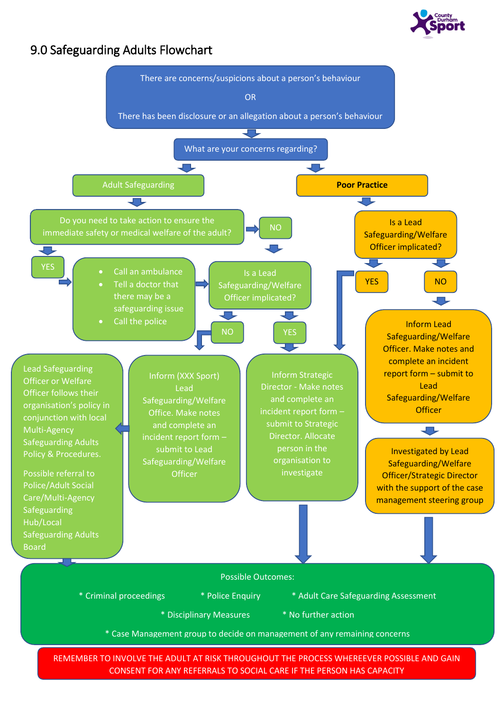

## 9.0 Safeguarding Adults Flowchart

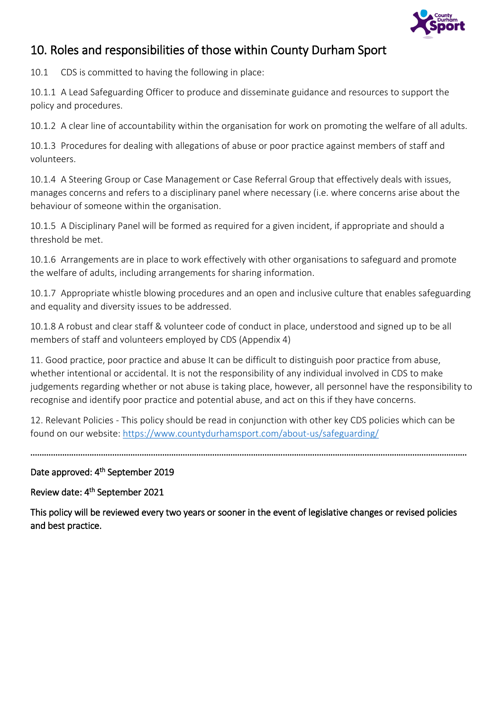

## 10. Roles and responsibilities of those within County Durham Sport

10.1 CDS is committed to having the following in place:

10.1.1 A Lead Safeguarding Officer to produce and disseminate guidance and resources to support the policy and procedures.

10.1.2 A clear line of accountability within the organisation for work on promoting the welfare of all adults.

10.1.3 Procedures for dealing with allegations of abuse or poor practice against members of staff and volunteers.

10.1.4 A Steering Group or Case Management or Case Referral Group that effectively deals with issues, manages concerns and refers to a disciplinary panel where necessary (i.e. where concerns arise about the behaviour of someone within the organisation.

10.1.5 A Disciplinary Panel will be formed as required for a given incident, if appropriate and should a threshold be met.

10.1.6 Arrangements are in place to work effectively with other organisations to safeguard and promote the welfare of adults, including arrangements for sharing information.

10.1.7 Appropriate whistle blowing procedures and an open and inclusive culture that enables safeguarding and equality and diversity issues to be addressed.

10.1.8 A robust and clear staff & volunteer code of conduct in place, understood and signed up to be all members of staff and volunteers employed by CDS (Appendix 4)

11. Good practice, poor practice and abuse It can be difficult to distinguish poor practice from abuse, whether intentional or accidental. It is not the responsibility of any individual involved in CDS to make judgements regarding whether or not abuse is taking place, however, all personnel have the responsibility to recognise and identify poor practice and potential abuse, and act on this if they have concerns.

12. Relevant Policies - This policy should be read in conjunction with other key CDS policies which can be found on our website:<https://www.countydurhamsport.com/about-us/safeguarding/>

…………………………………………………………………………………………………………………………………………………………………………

### Date approved: 4<sup>th</sup> September 2019

#### Review date: 4<sup>th</sup> September 2021

This policy will be reviewed every two years or sooner in the event of legislative changes or revised policies and best practice.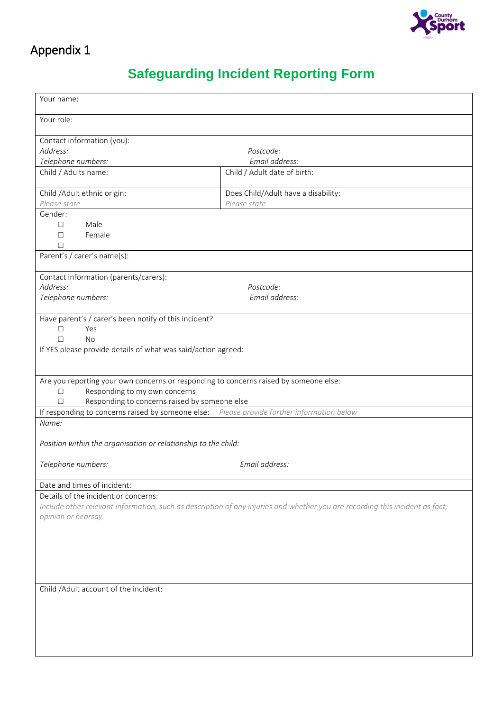

## **Safeguarding Incident Reporting Form**

| Your name:                                                                                 |                                                                                                                              |  |  |  |
|--------------------------------------------------------------------------------------------|------------------------------------------------------------------------------------------------------------------------------|--|--|--|
|                                                                                            |                                                                                                                              |  |  |  |
| Your role:                                                                                 |                                                                                                                              |  |  |  |
| Contact information (you):                                                                 |                                                                                                                              |  |  |  |
| Address:                                                                                   | Postcode:                                                                                                                    |  |  |  |
| Telephone numbers:                                                                         | Email address:                                                                                                               |  |  |  |
| Child / Adults name:                                                                       | Child / Adult date of birth:                                                                                                 |  |  |  |
|                                                                                            |                                                                                                                              |  |  |  |
| Child / Adult ethnic origin:                                                               | Does Child/Adult have a disability:                                                                                          |  |  |  |
| Please state                                                                               | Please state                                                                                                                 |  |  |  |
| Gender:                                                                                    |                                                                                                                              |  |  |  |
| Male<br>$\Box$                                                                             |                                                                                                                              |  |  |  |
| Female<br>□                                                                                |                                                                                                                              |  |  |  |
| П                                                                                          |                                                                                                                              |  |  |  |
| Parent's / carer's name(s):                                                                |                                                                                                                              |  |  |  |
|                                                                                            |                                                                                                                              |  |  |  |
| Contact information (parents/carers):                                                      |                                                                                                                              |  |  |  |
| Address:                                                                                   | Postcode:                                                                                                                    |  |  |  |
| Telephone numbers:                                                                         | Email address:                                                                                                               |  |  |  |
|                                                                                            |                                                                                                                              |  |  |  |
| Have parent's / carer's been notify of this incident?                                      |                                                                                                                              |  |  |  |
| Yes<br>П                                                                                   |                                                                                                                              |  |  |  |
| <b>No</b><br>П                                                                             |                                                                                                                              |  |  |  |
| If YES please provide details of what was said/action agreed:                              |                                                                                                                              |  |  |  |
|                                                                                            |                                                                                                                              |  |  |  |
|                                                                                            |                                                                                                                              |  |  |  |
| Are you reporting your own concerns or responding to concerns raised by someone else:      |                                                                                                                              |  |  |  |
| Responding to my own concerns<br>$\Box$                                                    |                                                                                                                              |  |  |  |
| Responding to concerns raised by someone else<br>П                                         |                                                                                                                              |  |  |  |
| If responding to concerns raised by someone else: Please provide further information below |                                                                                                                              |  |  |  |
| Name:                                                                                      |                                                                                                                              |  |  |  |
|                                                                                            |                                                                                                                              |  |  |  |
| Position within the organisation or relationship to the child:                             |                                                                                                                              |  |  |  |
|                                                                                            |                                                                                                                              |  |  |  |
| Telephone numbers:                                                                         | Email address:                                                                                                               |  |  |  |
|                                                                                            |                                                                                                                              |  |  |  |
| Date and times of incident:<br>Details of the incident or concerns:                        |                                                                                                                              |  |  |  |
|                                                                                            |                                                                                                                              |  |  |  |
|                                                                                            | Include other relevant information, such as description of any injuries and whether you are recording this incident as fact, |  |  |  |
| opinion or hearsay.                                                                        |                                                                                                                              |  |  |  |
|                                                                                            |                                                                                                                              |  |  |  |
|                                                                                            |                                                                                                                              |  |  |  |
|                                                                                            |                                                                                                                              |  |  |  |
|                                                                                            |                                                                                                                              |  |  |  |
|                                                                                            |                                                                                                                              |  |  |  |
|                                                                                            |                                                                                                                              |  |  |  |
| Child /Adult account of the incident:                                                      |                                                                                                                              |  |  |  |
|                                                                                            |                                                                                                                              |  |  |  |
|                                                                                            |                                                                                                                              |  |  |  |
|                                                                                            |                                                                                                                              |  |  |  |
|                                                                                            |                                                                                                                              |  |  |  |
|                                                                                            |                                                                                                                              |  |  |  |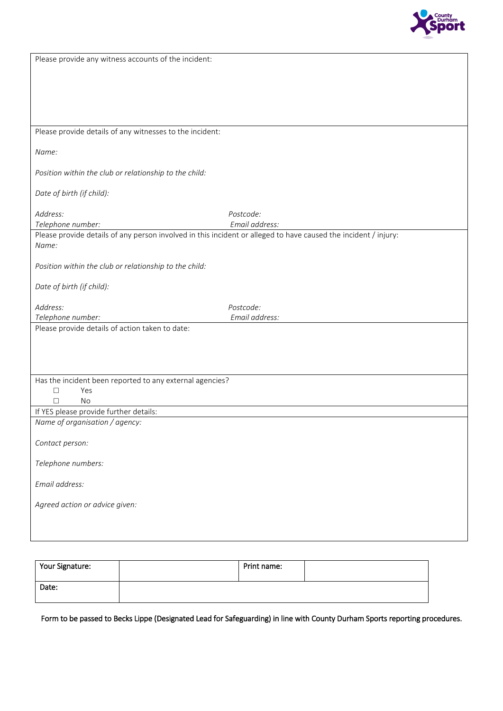

| Please provide any witness accounts of the incident:                                                            |                |
|-----------------------------------------------------------------------------------------------------------------|----------------|
|                                                                                                                 |                |
|                                                                                                                 |                |
|                                                                                                                 |                |
|                                                                                                                 |                |
|                                                                                                                 |                |
| Please provide details of any witnesses to the incident:                                                        |                |
| Name:                                                                                                           |                |
| Position within the club or relationship to the child:                                                          |                |
| Date of birth (if child):                                                                                       |                |
| Address:                                                                                                        | Postcode:      |
| Telephone number:                                                                                               | Email address: |
| Please provide details of any person involved in this incident or alleged to have caused the incident / injury: |                |
| Name:                                                                                                           |                |
| Position within the club or relationship to the child:                                                          |                |
|                                                                                                                 |                |
| Date of birth (if child):                                                                                       |                |
| Address:                                                                                                        | Postcode:      |
| Telephone number:                                                                                               | Email address: |
| Please provide details of action taken to date:                                                                 |                |
|                                                                                                                 |                |
|                                                                                                                 |                |
|                                                                                                                 |                |
| Has the incident been reported to any external agencies?                                                        |                |
| Yes<br>□                                                                                                        |                |
| П<br><b>No</b>                                                                                                  |                |
| If YES please provide further details:                                                                          |                |
| Name of organisation / agency:                                                                                  |                |
|                                                                                                                 |                |
|                                                                                                                 |                |
| Contact person:                                                                                                 |                |
|                                                                                                                 |                |
| Telephone numbers:                                                                                              |                |
| Email address:                                                                                                  |                |
| Agreed action or advice given:                                                                                  |                |
|                                                                                                                 |                |
|                                                                                                                 |                |

| Your Signature: | Print name: |  |
|-----------------|-------------|--|
| Date:           |             |  |

Form to be passed to Becks Lippe (Designated Lead for Safeguarding) in line with County Durham Sports reporting procedures.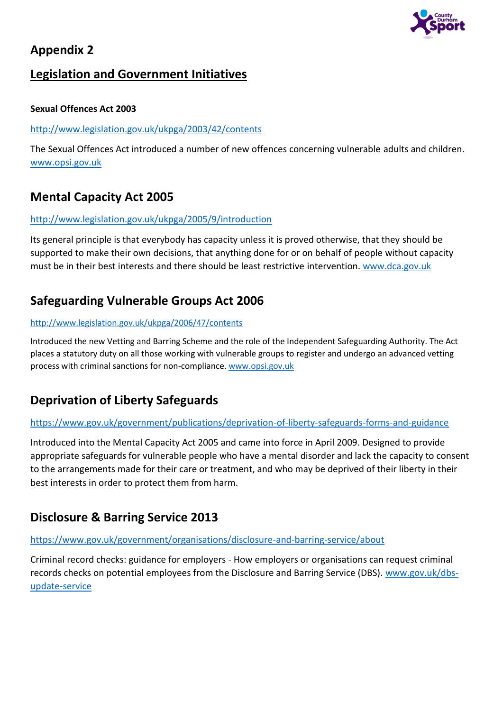

## **Legislation and Government Initiatives**

#### **Sexual Offences Act 2003**

#### <http://www.legislation.gov.uk/ukpga/2003/42/contents>

The Sexual Offences Act introduced a number of new offences concerning vulnerable adults and children. [www.opsi.gov.uk](http://www.opsi.gov.uk/)

## **Mental Capacity Act 2005**

#### <http://www.legislation.gov.uk/ukpga/2005/9/introduction>

Its general principle is that everybody has capacity unless it is proved otherwise, that they should be supported to make their own decisions, that anything done for or on behalf of people without capacity must be in their best interests and there should be least restrictive intervention. [www.dca.gov.uk](http://www.dca.gov.uk/)

## **Safeguarding Vulnerable Groups Act 2006**

#### <http://www.legislation.gov.uk/ukpga/2006/47/contents>

Introduced the new Vetting and Barring Scheme and the role of the Independent Safeguarding Authority. The Act places a statutory duty on all those working with vulnerable groups to register and undergo an advanced vetting process with criminal sanctions for non-compliance[. www.opsi.gov.uk](http://www.opsi.gov.uk/)

## **Deprivation of Liberty Safeguards**

#### <https://www.gov.uk/government/publications/deprivation-of-liberty-safeguards-forms-and-guidance>

Introduced into the Mental Capacity Act 2005 and came into force in April 2009. Designed to provide appropriate safeguards for vulnerable people who have a mental disorder and lack the capacity to consent to the arrangements made for their care or treatment, and who may be deprived of their liberty in their best interests in order to protect them from harm.

## **Disclosure & Barring Service 2013**

#### <https://www.gov.uk/government/organisations/disclosure-and-barring-service/about>

Criminal record checks: guidance for employers - How employers or organisations can request criminal records checks on potential employees from the Disclosure and Barring Service (DBS). [www.gov.uk/dbs](http://www.gov.uk/dbs-update-service)[update-service](http://www.gov.uk/dbs-update-service)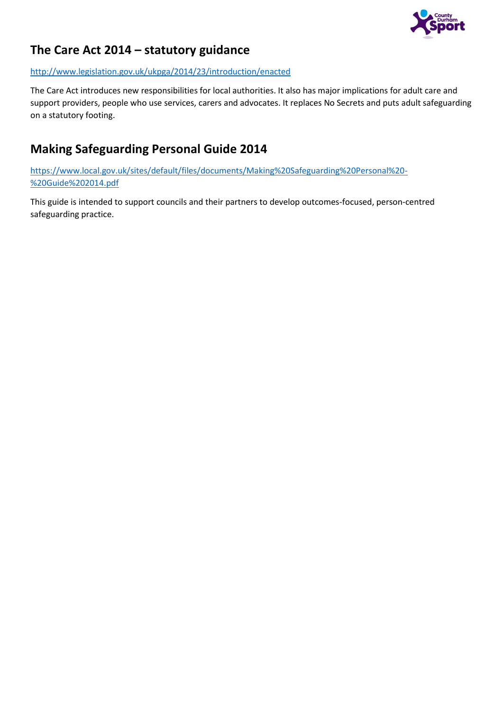

## **The Care Act 2014 – statutory guidance**

<http://www.legislation.gov.uk/ukpga/2014/23/introduction/enacted>

The Care Act introduces new responsibilities for local authorities. It also has major implications for adult care and support providers, people who use services, carers and advocates. It replaces No Secrets and puts adult safeguarding on a statutory footing.

## **Making Safeguarding Personal Guide 2014**

[https://www.local.gov.uk/sites/default/files/documents/Making%20Safeguarding%20Personal%20-](https://www.local.gov.uk/sites/default/files/documents/Making%20Safeguarding%20Personal%20-%20Guide%202014.pdf) [%20Guide%202014.pdf](https://www.local.gov.uk/sites/default/files/documents/Making%20Safeguarding%20Personal%20-%20Guide%202014.pdf)

This guide is intended to support councils and their partners to develop outcomes-focused, person-centred safeguarding practice.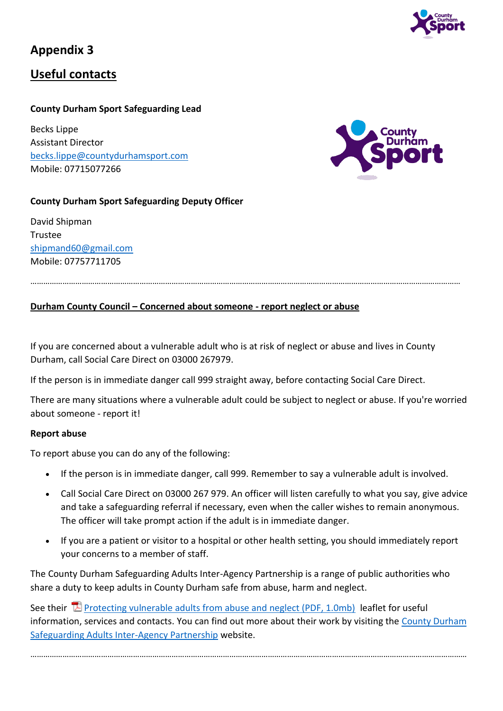

## **Useful contacts**

### **County Durham Sport Safeguarding Lead**

Becks Lippe Assistant Director [becks.lippe@countydurhamsport.com](mailto:becks.lippe@countydurhamsport.com) Mobile: 07715077266



### **County Durham Sport Safeguarding Deputy Officer**

David Shipman Trustee [shipmand60@gmail.com](mailto:shipmand60@gmail.com) Mobile: 07757711705

#### …………………………………………………………………………………………………………………………………………………………………………………

#### **Durham County Council – Concerned about someone - report neglect or abuse**

If you are concerned about a vulnerable adult who is at risk of neglect or abuse and lives in County Durham, call Social Care Direct on 03000 267979.

If the person is in immediate danger call 999 straight away, before contacting Social Care Direct.

There are many situations where a vulnerable adult could be subject to neglect or abuse. If you're worried about someone - report it!

#### **Report abuse**

To report abuse you can do any of the following:

- If the person is in immediate danger, call 999. Remember to say a vulnerable adult is involved.
- Call Social Care Direct on 03000 267 979. An officer will listen carefully to what you say, give advice and take a safeguarding referral if necessary, even when the caller wishes to remain anonymous. The officer will take prompt action if the adult is in immediate danger.
- If you are a patient or visitor to a hospital or other health setting, you should immediately report your concerns to a member of staff.

The County Durham Safeguarding Adults Inter-Agency Partnership is a range of public authorities who share a duty to keep adults in County Durham safe from abuse, harm and neglect.

See their  $\mathbb E$  [Protecting vulnerable adults from abuse and neglect \(PDF, 1.0mb\)](https://www.durham.gov.uk/media/8710/Protecting-vulnerable-adults-from-abuse-and-neglect/pdf/Protecting_VulnerableAdults.pdf?m=636199069921930000) leaflet for useful information, services and contacts. You can find out more about their work by visiting the County Durham [Safeguarding Adults Inter-Agency Partnership](http://www.safeguardingdurhamadults.info/) website.

……………………………………………………………………………………………………………………………………………………………………………………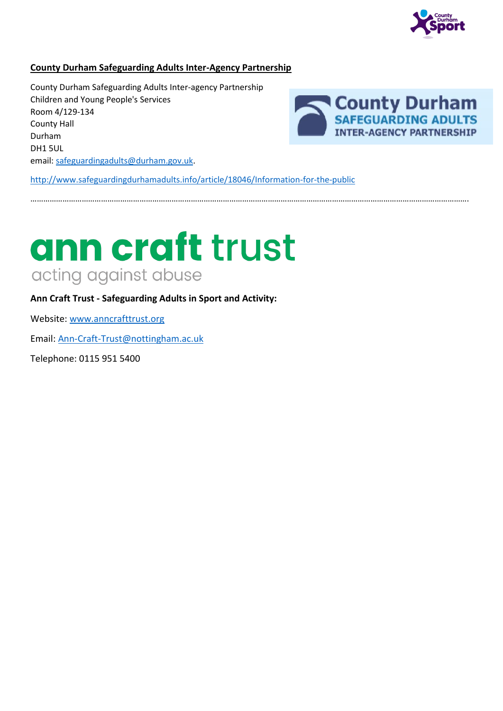

#### **County Durham Safeguarding Adults Inter-Agency Partnership**

County Durham Safeguarding Adults Inter-agency Partnership Children and Young People's Services Room 4/129-134 County Hall Durham DH1 5UL email: [safeguardingadults@durham.gov.uk.](mailto:safeguardingadults@durham.gov.uk)



<http://www.safeguardingdurhamadults.info/article/18046/Information-for-the-public>

…………………………………………………………………………………………………………………………………………………………………………………….

# ann craft trust acting against abuse

**Ann Craft Trust - Safeguarding Adults in Sport and Activity:**

Website: [www.anncrafttrust.org](http://www.anncrafttrust.org/)

Email: [Ann-Craft-Trust@nottingham.ac.uk](mailto:Ann-Craft-Trust@nottingham.ac.uk)

Telephone: 0115 951 5400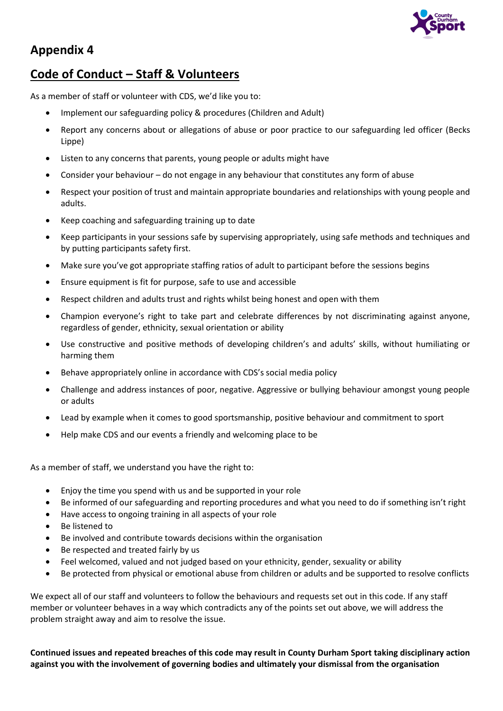

## **Code of Conduct – Staff & Volunteers**

As a member of staff or volunteer with CDS, we'd like you to:

- Implement our safeguarding policy & procedures (Children and Adult)
- Report any concerns about or allegations of abuse or poor practice to our safeguarding led officer (Becks Lippe)
- Listen to any concerns that parents, young people or adults might have
- Consider your behaviour  $-$  do not engage in any behaviour that constitutes any form of abuse
- Respect your position of trust and maintain appropriate boundaries and relationships with young people and adults.
- Keep coaching and safeguarding training up to date
- Keep participants in your sessions safe by supervising appropriately, using safe methods and techniques and by putting participants safety first.
- Make sure you've got appropriate staffing ratios of adult to participant before the sessions begins
- Ensure equipment is fit for purpose, safe to use and accessible
- Respect children and adults trust and rights whilst being honest and open with them
- Champion everyone's right to take part and celebrate differences by not discriminating against anyone, regardless of gender, ethnicity, sexual orientation or ability
- Use constructive and positive methods of developing children's and adults' skills, without humiliating or harming them
- Behave appropriately online in accordance with CDS's social media policy
- Challenge and address instances of poor, negative. Aggressive or bullying behaviour amongst young people or adults
- Lead by example when it comes to good sportsmanship, positive behaviour and commitment to sport
- Help make CDS and our events a friendly and welcoming place to be

As a member of staff, we understand you have the right to:

- Enjoy the time you spend with us and be supported in your role
- Be informed of our safeguarding and reporting procedures and what you need to do if something isn't right
- Have access to ongoing training in all aspects of your role
- Be listened to
- Be involved and contribute towards decisions within the organisation
- Be respected and treated fairly by us
- Feel welcomed, valued and not judged based on your ethnicity, gender, sexuality or ability
- Be protected from physical or emotional abuse from children or adults and be supported to resolve conflicts

We expect all of our staff and volunteers to follow the behaviours and requests set out in this code. If any staff member or volunteer behaves in a way which contradicts any of the points set out above, we will address the problem straight away and aim to resolve the issue.

**Continued issues and repeated breaches of this code may result in County Durham Sport taking disciplinary action against you with the involvement of governing bodies and ultimately your dismissal from the organisation**